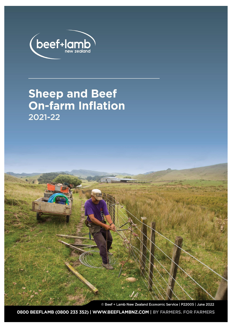

# **Sheep and Beef<br>On-farm Inflation** 2021-22

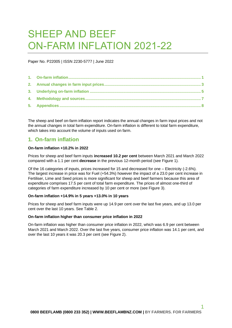# SHEEP AND BEEF ON-FARM INFLATION 2021-22

Paper No. P22005 | ISSN 2230-5777 | June 2022

The sheep and beef on-farm inflation report indicates the annual changes in farm input prices and not the annual changes in total farm expenditure. On-farm inflation is different to total farm expenditure, which takes into account the volume of inputs used on farm.

### <span id="page-1-0"></span>**1. On-farm inflation**

#### **On-farm inflation +10.2% in 2022**

Prices for sheep and beef farm inputs **increased 10.2 per cent** between March 2021 and March 2022 compared with a 1.1 per cent **decrease** in the previous 12-month period (se[e Figure 1\)](#page-2-0).

Of the 16 categories of inputs, prices increased for 15 and decreased for one – Electricity (-2.6%). The largest increase in price was for Fuel (+54.3%) however the impact of a 23.0 per cent increase in Fertiliser, Lime and Seed prices is more significant for sheep and beef farmers because this area of expenditure comprises 17.5 per cent of total farm expenditure. The prices of almost one-third of categories of farm expenditure increased by 10 per cent or more (se[e Figure 3\)](#page-3-1).

#### **On-farm inflation +14.9% in 5 years +13.0% in 10 years**

Prices for sheep and beef farm inputs were up 14.9 per cent over the last five years, and up 13.0 per cent over the last 10 years. Se[e Table 2.](#page-6-0)

#### **On-farm inflation higher than consumer price inflation in 2022**

On-farm inflation was higher than consumer price inflation in 2022, which was 6.9 per cent between March 2021 and March 2022. Over the last five years, consumer price inflation was 14.1 per cent, and over the last 10 years it was 20.3 per cent (see [Figure 2\)](#page-2-1).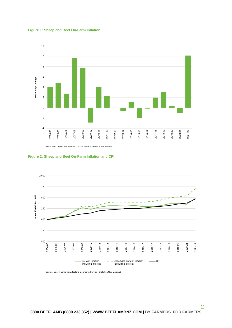<span id="page-2-0"></span>



Source: Beef + Lamb New Zealand Economic Service | Statistics New Zealand

<span id="page-2-1"></span>

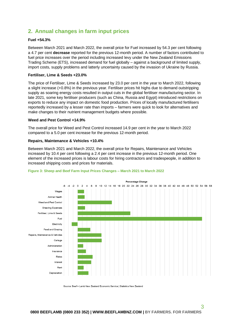# <span id="page-3-0"></span>**2. Annual changes in farm input prices**

#### **Fuel +54.3%**

Between March 2021 and March 2022, the overall price for Fuel increased by 54.3 per cent following a 4.7 per cent **decrease** reported for the previous 12-month period. A number of factors contributed to fuel price increases over the period including increased levy under the New Zealand Emissions Trading Scheme (ETS), increased demand for fuel globally – against a background of limited supply, import costs, supply problems and latterly uncertainty caused by the invasion of Ukraine by Russia.

#### **Fertiliser, Lime & Seeds +23.0%**

The price of Fertiliser, Lime & Seeds increased by 23.0 per cent in the year to March 2022, following a slight increase (+0.8%) in the previous year. Fertiliser prices hit highs due to demand outstripping supply as soaring energy costs resulted in output cuts in the global fertiliser manufacturing sector. In late 2021, some key fertiliser producers (such as China, Russia and Egypt) introduced restrictions on exports to reduce any impact on domestic food production. Prices of locally manufactured fertilisers reportedly increased by a lesser rate than imports – farmers were quick to look for alternatives and make changes to their nutrient management budgets where possible.

#### **Weed and Pest Control +14.9%**

The overall price for Weed and Pest Control increased 14.9 per cent in the year to March 2022 compared to a 5.0 per cent increase for the previous 12-month period.

#### **Repairs, Maintenance & Vehicles +10.4%**

Between March 2021 and March 2022, the overall price for Repairs, Maintenance and Vehicles increased by 10.4 per cent following a 2.4 per cent increase in the previous 12-month period. One element of the increased prices is labour costs for hiring contractors and tradespeople, in addition to increased shipping costs and prices for materials.



#### <span id="page-3-1"></span>**Figure 3: Sheep and Beef Farm Input Prices Changes – March 2021 to March 2022**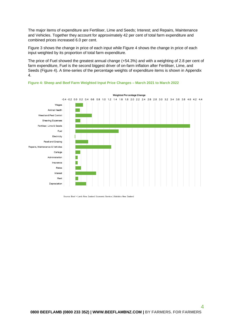The major items of expenditure are Fertiliser, Lime and Seeds; Interest; and Repairs, Maintenance and Vehicles. Together they account for approximately 42 per cent of total farm expenditure and combined prices increased 6.0 per cent.

Figure 3 shows the change in price of each input while Figure 4 shows the change in price of each input weighted by its proportion of total farm expenditure.

The price of Fuel showed the greatest annual change (+54.3%) and with a weighting of 2.8 per cent of farm expenditure, Fuel is the second biggest driver of on-farm inflation after Fertiliser, Lime, and Seeds (Figure 4). A time-series of the percentage weights of expenditure items is shown in Appendix 4.



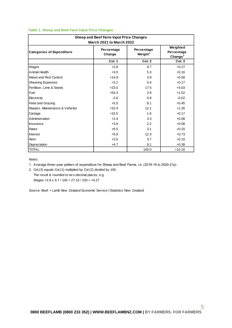|  | Table 1: Sheep and Beef Farm Input Price Changes |
|--|--------------------------------------------------|
|  |                                                  |

<span id="page-5-0"></span>

| Sheep and Beef Farm Input Price Changes<br><b>March 2021 to March 2022</b> |                      |                          |                                      |  |  |  |  |  |  |
|----------------------------------------------------------------------------|----------------------|--------------------------|--------------------------------------|--|--|--|--|--|--|
| <b>Categories of Expenditure</b>                                           | Percentage<br>Change | Percentage<br>Weight $1$ | Weighted<br>Percentage<br>Change $2$ |  |  |  |  |  |  |
|                                                                            | Col. 1               | Col. 2                   | Col. 3                               |  |  |  |  |  |  |
| Wages                                                                      | $+2.8$               | 9.7                      | $+0.27$                              |  |  |  |  |  |  |
| Animal Health                                                              | $+3.0$               | 5.3                      | $+0.16$                              |  |  |  |  |  |  |
| Weed and Pest Control                                                      | $+14.9$              | 3.9                      | $+0.58$                              |  |  |  |  |  |  |
| <b>Shearing Expenses</b>                                                   | $+3.2$               | 5.4                      | $+0.17$                              |  |  |  |  |  |  |
| Fertiliser, Lime & Seeds                                                   | $+23.0$              | 17.5                     | $+4.03$                              |  |  |  |  |  |  |
| Fuel                                                                       | $+54.3$              | 2.8                      | $+1.52$                              |  |  |  |  |  |  |
| Electricity                                                                | $-2.6$               | 0.9                      | $-0.02$                              |  |  |  |  |  |  |
| Feed and Grazing                                                           | $+5.5$               | 8.1                      | $+0.45$                              |  |  |  |  |  |  |
| Repairs, Maintenance & Vehicles                                            | $+10.4$              | 12.1                     | $+1.26$                              |  |  |  |  |  |  |
| Cartage                                                                    | $+10.5$              | 1.6                      | $+0.17$                              |  |  |  |  |  |  |
| Administration                                                             | $+2.4$               | 3.3                      | $+0.08$                              |  |  |  |  |  |  |
| Insurance                                                                  | $+3.6$               | 2.2                      | $+0.08$                              |  |  |  |  |  |  |
| Rates                                                                      | $+6.5$               | 3.1                      | $+0.20$                              |  |  |  |  |  |  |
| Interest                                                                   | $+5.9$               | 12.3                     | $+0.73$                              |  |  |  |  |  |  |
| Rent                                                                       | $+2.6$               | 3.7                      | $+0.10$                              |  |  |  |  |  |  |
| Depreciation                                                               | $+4.7$               | 8.1                      | $+0.38$                              |  |  |  |  |  |  |
| <b>TOTAL</b>                                                               |                      | 100.0                    | $+10.16$                             |  |  |  |  |  |  |

Notes:

1. Average three–year pattern of expenditure for Sheep and Beef Farms, i.e. (2018-19 to 2020-21p)

 The result is rounded to tw o decimal places, e.g. 2. Col.(3) equals Col.(1) multiplied by Col.(2) divided by 100.

Wages +2.8 x 9.7 / 100 = 27.16 / 100 = +0.27

Source: Beef + Lamb New Zealand Economic Service | Statistics New Zealand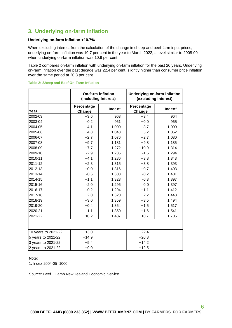# **3. Underlying on-farm inflation**

#### **Underlying on-farm inflation +10.7%**

When excluding interest from the calculation of the change in sheep and beef farm input prices, underlying on-farm inflation was 10.7 per cent in the year to March 2022, a level similar to 2008-09 when underlying on-farm inflation was 10.9 per cent.

[Table 2](#page-6-0) compares on-farm inflation with underlying on-farm inflation for the past 20 years. Underlying on-farm inflation over the past decade was 22.4 per cent, slightly higher than consumer price inflation over the same period at 20.3 per cent.

|                     | <b>On-farm inflation</b><br>(including Interest) |                    | Underlying on-farm inflation<br>(excluding Interest) |                    |  |  |
|---------------------|--------------------------------------------------|--------------------|------------------------------------------------------|--------------------|--|--|
| Year                | Percentage<br>Change                             | Index <sup>1</sup> | Percentage<br>Change                                 | Index <sup>1</sup> |  |  |
| 2002-03             | $+3.6$                                           | 963                | $+3.4$                                               | 964                |  |  |
| 2003-04             | $-0.2$                                           | 961                | $+0.0$                                               | 965                |  |  |
| 2004-05             | $+4.1$                                           | 1,000              | $+3.7$                                               | 1,000              |  |  |
| 2005-06             | $+4.8$                                           | 1,048              | $+5.2$                                               | 1,052              |  |  |
| 2006-07             | $+2.7$                                           | 1,076              | $+2.7$                                               | 1,080              |  |  |
| 2007-08             | $+9.7$                                           | 1,181              | $+9.8$                                               | 1,185              |  |  |
| 2008-09             | $+7.7$                                           | 1,272              | $+10.9$                                              | 1,314              |  |  |
| 2009-10             | $-2.9$                                           | 1,235              | $-1.5$                                               | 1,294              |  |  |
| 2010-11             | $+4.1$                                           | 1,286              | $+3.8$                                               | 1,343              |  |  |
| 2011-12             | $+2.3$                                           | 1,315              | $+3.8$                                               | 1,393              |  |  |
| 2012-13             | $+0.0$                                           | 1,316              | $+0.7$                                               | 1,403              |  |  |
| 2013-14             | $-0.6$                                           | 1,308              | $-0.2$                                               | 1,401              |  |  |
| 2014-15             | $+1.1$                                           | 1,323              | $-0.3$                                               | 1,397              |  |  |
| 2015-16             | $-2.0$                                           | 1,296              | 0.0                                                  | 1,397              |  |  |
| 2016-17             | $-0.2$                                           | 1,294              | $+1.1$                                               | 1,412              |  |  |
| 2017-18             | $+2.0$                                           | 1,320              | $+2.2$                                               | 1,443              |  |  |
| 2018-19             | $+3.0$                                           | 1,359              | $+3.5$                                               | 1,494              |  |  |
| 2019-20             | $+0.4$                                           | 1,364              | $+1.5$                                               | 1,517              |  |  |
| 2020-21             | $-1.1$                                           | 1,350              | $+1.6$                                               | 1,541              |  |  |
| 2021-22             | $+10.2$                                          | 1,487              | $+10.7$                                              | 1,706              |  |  |
|                     |                                                  |                    |                                                      |                    |  |  |
| 10 years to 2021-22 | $+13.0$                                          |                    | $+22.4$                                              |                    |  |  |
| 5 years to 2021-22  | $+14.9$                                          |                    | $+20.8$                                              |                    |  |  |
| 3 years to 2021-22  | $+9.4$                                           |                    | $+14.2$                                              |                    |  |  |
| 2 years to 2021-22  | $+9.0$                                           |                    | $+12.5$                                              |                    |  |  |

#### <span id="page-6-0"></span>**Table 2: Sheep and Beef On-Farm Inflation**

#### Note:

1. Index 2004-05=1000

Source: Beef + Lamb New Zealand Economic Service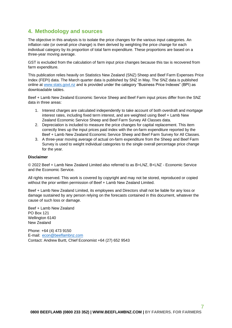# <span id="page-7-0"></span>**4. Methodology and sources**

The objective in this analysis is to isolate the price changes for the various input categories. An inflation rate (or overall price change) is then derived by weighting the price change for each individual category by its proportion of total farm expenditure. These proportions are based on a three-year moving average.

GST is excluded from the calculation of farm input price changes because this tax is recovered from farm expenditure.

This publication relies heavily on Statistics New Zealand (SNZ) Sheep and Beef Farm Expenses Price Index (FEPI) data. The March quarter data is published by SNZ in May. The SNZ data is published online at [www.stats.govt.nz](http://www.stats.govt.nz/) and is provided under the category "Business Price Indexes" (BPI) as downloadable tables.

Beef + Lamb New Zealand Economic Service Sheep and Beef Farm input prices differ from the SNZ data in three areas:

- 1. Interest charges are calculated independently to take account of both overdraft and mortgage interest rates, including fixed term interest, and are weighted using Beef + Lamb New Zealand Economic Service Sheep and Beef Farm Survey All Classes data.
- 2. Depreciation is included to measure the price changes for capital replacement. This item correctly lines up the input prices paid index with the on-farm expenditure reported by the Beef + Lamb New Zealand Economic Service Sheep and Beef Farm Survey for All Classes.
- 3. A three-year moving average of actual on-farm expenditure from the Sheep and Beef Farm Survey is used to weight individual categories to the single overall percentage price change for the year.

#### **Disclaimer**

© 2022 Beef + Lamb New Zealand Limited also referred to as B+LNZ, B+LNZ - Economic Service and the Economic Service.

All rights reserved. This work is covered by copyright and may not be stored, reproduced or copied without the prior written permission of Beef + Lamb New Zealand Limited.

Beef + Lamb New Zealand Limited, its employees and Directors shall not be liable for any loss or damage sustained by any person relying on the forecasts contained in this document, whatever the cause of such loss or damage.

Beef + Lamb New Zealand PO Box 121 Wellington 6140 New Zealand

Phone: +64 (4) 473 9150 E-mail: [econ@beeflambnz.com](mailto:econ@beeflambnz.com) Contact: Andrew Burtt, Chief Economist +64 (27) 652 9543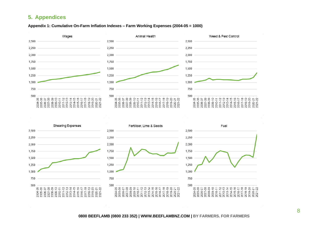# **5. Appendices**

#### **Appendix 1: Cumulative On-Farm Inflation Indexes – Farm Working Expenses (2004-05 = 1000)**



<span id="page-8-0"></span>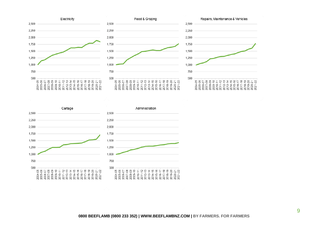

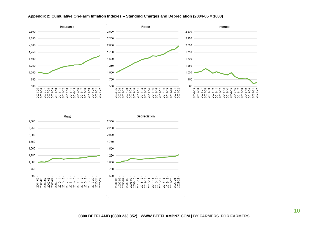

#### **Appendix 2: Cumulative On-Farm Inflation Indexes – Standing Charges and Depreciation (2004-05 = 1000)**

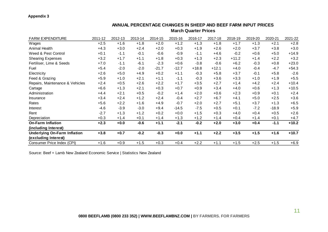#### **Appendix 3**

| <b>FARM EXPENDITURE</b>             | 2011-12 | 2012-13 | 2013-14 | 2014-15 | 2015-16 | 2016-17 | 2017-18 | 2018-19 | 2019-20 | 2020-21 | 2021-22 |
|-------------------------------------|---------|---------|---------|---------|---------|---------|---------|---------|---------|---------|---------|
| Wages                               | $+2.5$  | $+1.6$  | $+1.8$  | $+2.0$  | $+1.2$  | $+1.3$  | $+1.8$  | $+1.7$  | $+1.3$  | $+2.1$  | $+2.8$  |
| Animal Health                       | $+4.3$  | $+3.0$  | $+2.4$  | $+2.0$  | $+0.3$  | $+1.9$  | $+2.6$  | $+2.0$  | $+3.7$  | $+3.8$  | $+3.0$  |
| Weed & Pest Control                 | $+0.1$  | $-1.1$  | $-0.1$  | $-0.6$  | $-0.9$  | $-1.1$  | $+4.6$  | $-0.2$  | $+0.6$  | $+5.0$  | $+14.9$ |
| <b>Shearing Expenses</b>            | $+3.2$  | $+1.7$  | $+1.1$  | $+1.8$  | $+0.3$  | $+1.3$  | $+2.3$  | $+11.2$ | $+1.4$  | $+2.2$  | $+3.2$  |
| Fertiliser, Lime & Seeds            | $+7.0$  | $-1.1$  | $-6.1$  | $-2.3$  | $+0.6$  | $-3.8$  | $-0.6$  | $+6.2$  | $-0.3$  | $+0.8$  | $+23.0$ |
| Fuel                                | $+5.4$  | $-2.0$  | $-2.0$  | $-21.7$ | $-12.7$ | $+18.8$ | $+12.1$ | $+4.0$  | $-0.4$  | $-4.7$  | $+54.3$ |
| Electricity                         | $+2.6$  | $+5.0$  | $+4.9$  | $+0.2$  | $+1.1$  | $-0.3$  | $+5.8$  | $+3.7$  | $-0.1$  | $+5.8$  | $-2.6$  |
| Feed & Grazing                      | $+5.9$  | $+1.0$  | $+2.1$  | $+1.1$  | $-1.1$  | $-0.3$  | $+3.6$  | $+3.3$  | $+1.0$  | $+1.9$  | $+5.5$  |
| Repairs, Maintenance & Vehicles     | $+2.4$  | $+0.5$  | $+2.6$  | $+2.2$  | $+1.7$  | $+3.5$  | $+2.7$  | $+1.4$  | $+4.2$  | $+2.4$  | $+10.4$ |
| Cartage                             | $+6.6$  | $+1.3$  | $+2.1$  | $+0.3$  | $+0.7$  | $+0.9$  | $+3.4$  | $+4.0$  | $+0.6$  | $+1.3$  | $+10.5$ |
| Administration                      | $+4.4$  | $+2.1$  | $+0.5$  | $-0.2$  | $+1.4$  | $+2.0$  | $+0.6$  | $+2.3$  | $+0.9$  | $+0.1$  | $+2.4$  |
| Insurance                           | $+3.4$  | $+2.4$  | $+1.2$  | $+2.4$  | $-0.4$  | $+2.7$  | $+6.7$  | $+4.1$  | $+5.0$  | $+2.5$  | $+3.6$  |
| Rates                               | $+5.6$  | $+2.2$  | $+1.6$  | $+4.9$  | $-0.7$  | $+2.0$  | $+2.7$  | $+5.1$  | $+3.7$  | $+1.3$  | $+6.5$  |
| Interest                            | $-4.6$  | $-3.9$  | $-3.0$  | $+9.4$  | $-14.5$ | $-7.5$  | $+0.5$  | $+0.1$  | $-7.2$  | $-18.9$ | $+5.9$  |
| Rent                                | $-2.7$  | $+1.3$  | $+1.2$  | $+0.2$  | $+0.0$  | $+1.5$  | $+0.3$  | $+4.0$  | $+0.4$  | $+0.5$  | $+2.6$  |
| Depreciation                        | $+0.3$  | $+1.4$  | $+0.1$  | $+1.4$  | $+1.3$  | $+1.2$  | $+1.4$  | $+0.4$  | $+1.4$  | $+0.1$  | $+4.7$  |
| <b>On-Farm Inflation</b>            | $+2.3$  | $+0.0$  | $-0.6$  | $+1.1$  | $-2.1$  | $-0.2$  | $+2.0$  | $+3.0$  | $+0.4$  | $-1.1$  | $+10.2$ |
| (including Interest)                |         |         |         |         |         |         |         |         |         |         |         |
| <b>Underlying On-Farm Inflation</b> | $+3.8$  | $+0.7$  | $-0.2$  | $-0.3$  | $+0.0$  | $+1.1$  | $+2.2$  | $+3.5$  | $+1.5$  | $+1.6$  | $+10.7$ |
| (excluding Interest)                |         |         |         |         |         |         |         |         |         |         |         |
| Consumer Price Index (CPI)          | $+1.6$  | $+0.9$  | $+1.5$  | $+0.3$  | $+0.4$  | $+2.2$  | $+1.1$  | $+1.5$  | $+2.5$  | $+1.5$  | $+6.9$  |

#### **ANNUAL PERCENTAGE CHANGES IN SHEEP AND BEEF FARM INPUT PRICES March Quarter Prices**